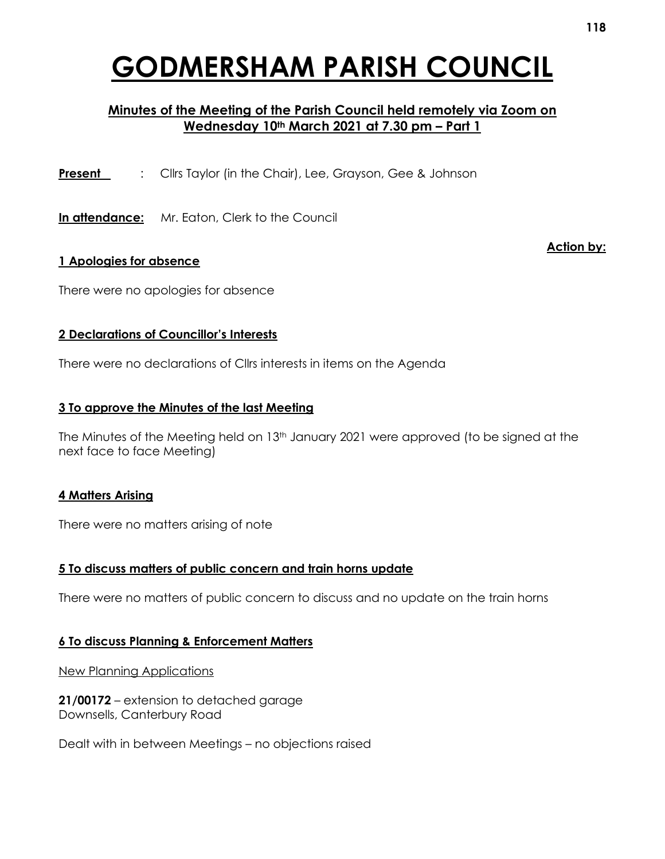# **GODMERSHAM PARISH COUNCIL**

### **Minutes of the Meeting of the Parish Council held remotely via Zoom on Wednesday 10th March 2021 at 7.30 pm – Part 1**

**Present** : Cllrs Taylor (in the Chair), Lee, Grayson, Gee & Johnson

**In attendance:** Mr. Eaton, Clerk to the Council

#### **1 Apologies for absence**

There were no apologies for absence

#### **2 Declarations of Councillor's Interests**

There were no declarations of Cllrs interests in items on the Agenda

#### **3 To approve the Minutes of the last Meeting**

The Minutes of the Meeting held on 13<sup>th</sup> January 2021 were approved (to be signed at the next face to face Meeting)

#### **4 Matters Arising**

There were no matters arising of note

#### **5 To discuss matters of public concern and train horns update**

There were no matters of public concern to discuss and no update on the train horns

#### **6 To discuss Planning & Enforcement Matters**

New Planning Applications

**21/00172** – extension to detached garage Downsells, Canterbury Road

Dealt with in between Meetings – no objections raised

**Action by:**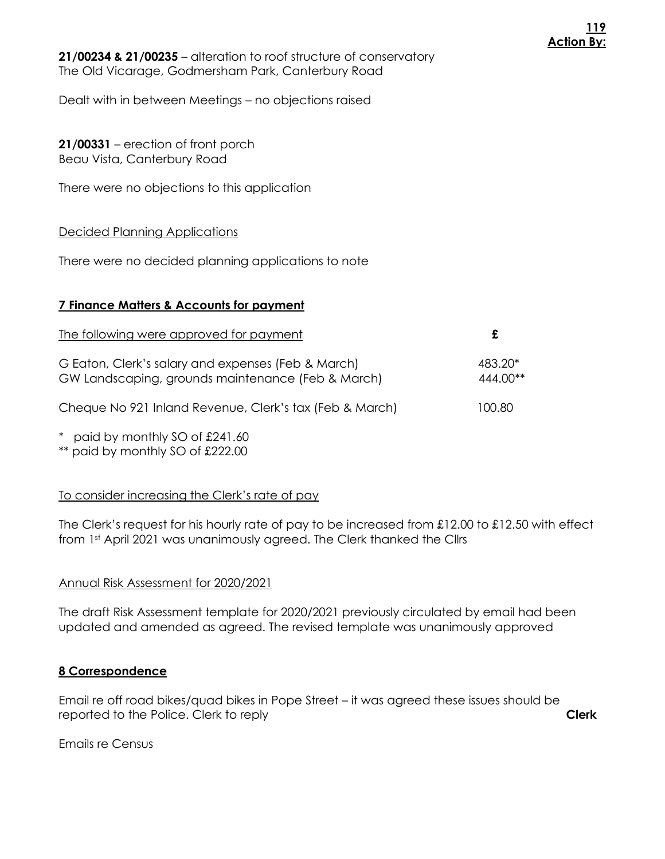**21/00234 & 21/00235** – alteration to roof structure of conservatory The Old Vicarage, Godmersham Park, Canterbury Road

Dealt with in between Meetings – no objections raised

**21/00331** – erection of front porch Beau Vista, Canterbury Road

There were no objections to this application

#### Decided Planning Applications

There were no decided planning applications to note

#### **7 Finance Matters & Accounts for payment**

| The following were approved for payment                                                                 |                     |
|---------------------------------------------------------------------------------------------------------|---------------------|
| G Eaton, Clerk's salary and expenses (Feb & March)<br>GW Landscaping, grounds maintenance (Feb & March) | 483.20*<br>444.00** |
| Cheque No 921 Inland Revenue, Clerk's tax (Feb & March)                                                 | 100.80              |
| $*$ paid by monthly $SO$ of $O(1)$ 40                                                                   |                     |

paid by monthly SO of  $\pounds$ 241.60 \*\* paid by monthly SO of £222.00

#### To consider increasing the Clerk's rate of pay

The Clerk's request for his hourly rate of pay to be increased from £12.00 to £12.50 with effect from 1st April 2021 was unanimously agreed. The Clerk thanked the Cllrs

#### Annual Risk Assessment for 2020/2021

The draft Risk Assessment template for 2020/2021 previously circulated by email had been updated and amended as agreed. The revised template was unanimously approved

#### **8 Correspondence**

Email re off road bikes/quad bikes in Pope Street – it was agreed these issues should be reported to the Police. Clerk to reply **Clerk**

Emails re Census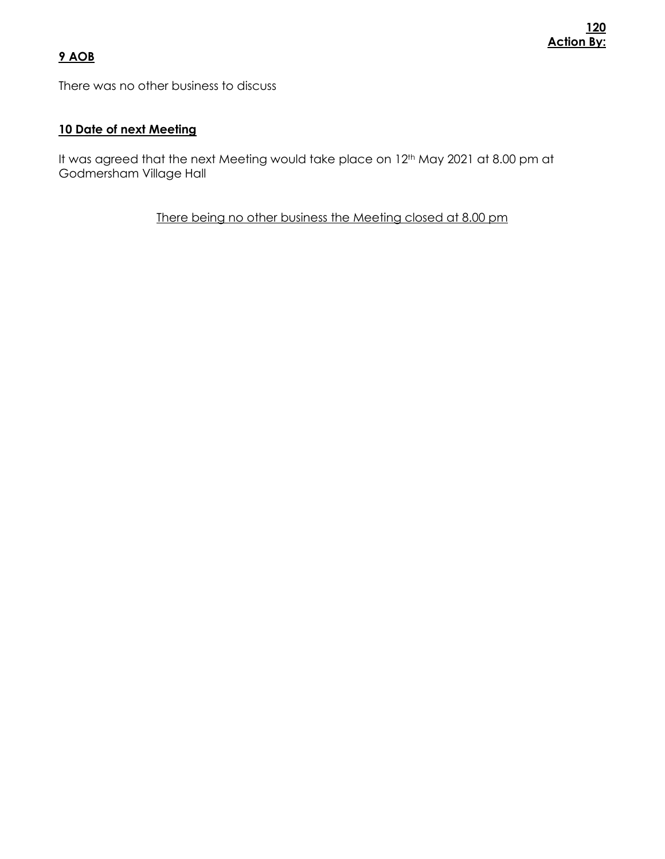## **9 AOB**

There was no other business to discuss

#### **10 Date of next Meeting**

It was agreed that the next Meeting would take place on 12<sup>th</sup> May 2021 at 8.00 pm at Godmersham Village Hall

There being no other business the Meeting closed at 8.00 pm